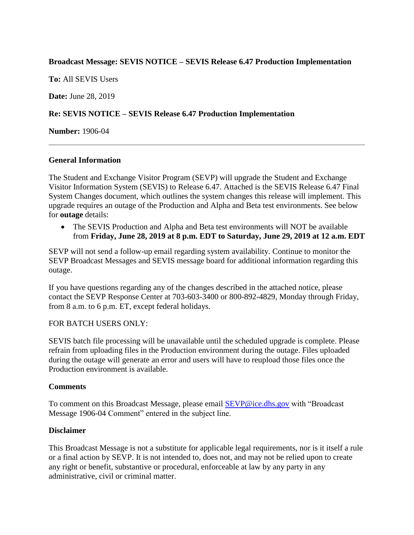## **Broadcast Message: SEVIS NOTICE – SEVIS Release 6.47 Production Implementation**

**To:** All SEVIS Users

**Date:** June 28, 2019

# **Re: SEVIS NOTICE – SEVIS Release 6.47 Production Implementation**

**Number:** 1906-04

### **General Information**

The Student and Exchange Visitor Program (SEVP) will upgrade the Student and Exchange Visitor Information System (SEVIS) to Release 6.47. Attached is the SEVIS Release 6.47 Final System Changes document, which outlines the system changes this release will implement. This upgrade requires an outage of the Production and Alpha and Beta test environments. See below for **outage** details:

• The SEVIS Production and Alpha and Beta test environments will NOT be available from **Friday, June 28, 2019 at 8 p.m. EDT to Saturday, June 29, 2019 at 12 a.m. EDT**

SEVP will not send a follow-up email regarding system availability. Continue to monitor the SEVP Broadcast Messages and SEVIS message board for additional information regarding this outage.

If you have questions regarding any of the changes described in the attached notice, please contact the SEVP Response Center at 703-603-3400 or 800-892-4829, Monday through Friday, from 8 a.m. to 6 p.m. ET, except federal holidays.

### FOR BATCH USERS ONLY:

SEVIS batch file processing will be unavailable until the scheduled upgrade is complete. Please refrain from uploading files in the Production environment during the outage. Files uploaded during the outage will generate an error and users will have to reupload those files once the Production environment is available.

### **Comments**

To comment on this Broadcast Message, please email [SEVP@ice.dhs.gov](mailto:SEVP@ice.dhs.gov) with "Broadcast Message 1906-04 Comment" entered in the subject line.

### **Disclaimer**

This Broadcast Message is not a substitute for applicable legal requirements, nor is it itself a rule or a final action by SEVP. It is not intended to, does not, and may not be relied upon to create any right or benefit, substantive or procedural, enforceable at law by any party in any administrative, civil or criminal matter.